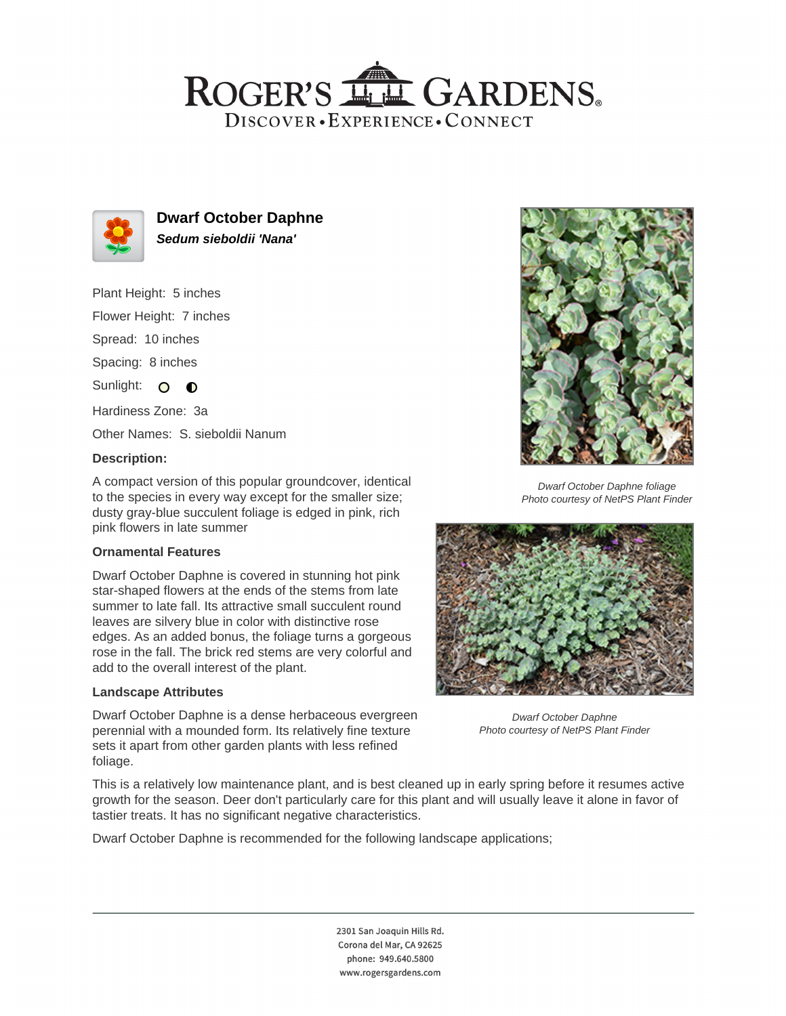## ROGER'S LL GARDENS. DISCOVER · EXPERIENCE · CONNECT



**Dwarf October Daphne Sedum sieboldii 'Nana'**

Plant Height: 5 inches

Flower Height: 7 inches

Spread: 10 inches

Spacing: 8 inches

Sunlight: O O

Hardiness Zone: 3a

Other Names: S. sieboldii Nanum

#### **Description:**

A compact version of this popular groundcover, identical to the species in every way except for the smaller size; dusty gray-blue succulent foliage is edged in pink, rich pink flowers in late summer

#### **Ornamental Features**

Dwarf October Daphne is covered in stunning hot pink star-shaped flowers at the ends of the stems from late summer to late fall. Its attractive small succulent round leaves are silvery blue in color with distinctive rose edges. As an added bonus, the foliage turns a gorgeous rose in the fall. The brick red stems are very colorful and add to the overall interest of the plant.

#### **Landscape Attributes**

Dwarf October Daphne is a dense herbaceous evergreen perennial with a mounded form. Its relatively fine texture sets it apart from other garden plants with less refined foliage.



Dwarf October Daphne foliage Photo courtesy of NetPS Plant Finder



Dwarf October Daphne Photo courtesy of NetPS Plant Finder

This is a relatively low maintenance plant, and is best cleaned up in early spring before it resumes active growth for the season. Deer don't particularly care for this plant and will usually leave it alone in favor of tastier treats. It has no significant negative characteristics.

Dwarf October Daphne is recommended for the following landscape applications;

2301 San Joaquin Hills Rd. Corona del Mar, CA 92625 phone: 949.640.5800 www.rogersgardens.com